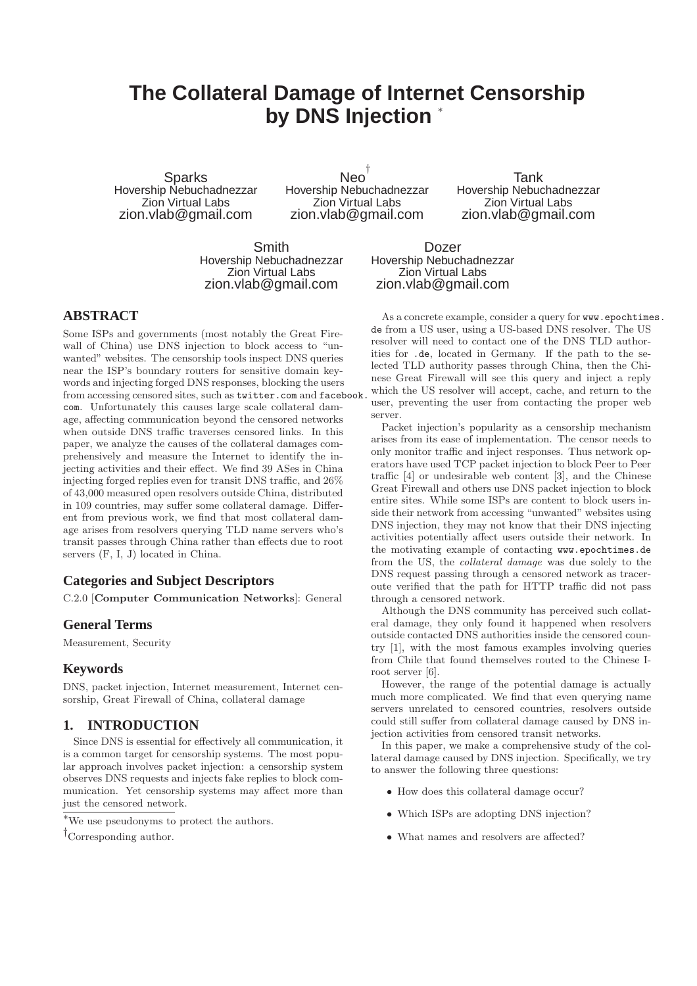# **The Collateral Damage of Internet Censorship by DNS Injection** <sup>∗</sup>

**Sparks** Hovership Nebuchadnezzar Zion Virtual Labs zion.vlab@gmail.com

Neo † Hovership Nebuchadnezzar Zion Virtual Labs zion.vlab@gmail.com

Tank Hovership Nebuchadnezzar Zion Virtual Labs zion.vlab@gmail.com

Smith Hovership Nebuchadnezzar Zion Virtual Labs zion.vlab@gmail.com

Dozer Hovership Nebuchadnezzar Zion Virtual Labs zion.vlab@gmail.com

# **ABSTRACT**

Some ISPs and governments (most notably the Great Firewall of China) use DNS injection to block access to "unwanted" websites. The censorship tools inspect DNS queries near the ISP's boundary routers for sensitive domain keywords and injecting forged DNS responses, blocking the users from accessing censored sites, such as twitter.com and facebook. com. Unfortunately this causes large scale collateral damage, affecting communication beyond the censored networks when outside DNS traffic traverses censored links. In this paper, we analyze the causes of the collateral damages comprehensively and measure the Internet to identify the injecting activities and their effect. We find 39 ASes in China injecting forged replies even for transit DNS traffic, and 26% of 43,000 measured open resolvers outside China, distributed in 109 countries, may suffer some collateral damage. Different from previous work, we find that most collateral damage arises from resolvers querying TLD name servers who's transit passes through China rather than effects due to root servers (F, I, J) located in China.

#### **Categories and Subject Descriptors**

C.2.0 [Computer Communication Networks]: General

# **General Terms**

Measurement, Security

#### **Keywords**

DNS, packet injection, Internet measurement, Internet censorship, Great Firewall of China, collateral damage

# **1. INTRODUCTION**

Since DNS is essential for effectively all communication, it is a common target for censorship systems. The most popular approach involves packet injection: a censorship system observes DNS requests and injects fake replies to block communication. Yet censorship systems may affect more than just the censored network.

†Corresponding author.

As a concrete example, consider a query for www.epochtimes. de from a US user, using a US-based DNS resolver. The US resolver will need to contact one of the DNS TLD authorities for .de, located in Germany. If the path to the selected TLD authority passes through China, then the Chinese Great Firewall will see this query and inject a reply which the US resolver will accept, cache, and return to the user, preventing the user from contacting the proper web server.

Packet injection's popularity as a censorship mechanism arises from its ease of implementation. The censor needs to only monitor traffic and inject responses. Thus network operators have used TCP packet injection to block Peer to Peer traffic [4] or undesirable web content [3], and the Chinese Great Firewall and others use DNS packet injection to block entire sites. While some ISPs are content to block users inside their network from accessing "unwanted" websites using DNS injection, they may not know that their DNS injecting activities potentially affect users outside their network. In the motivating example of contacting www.epochtimes.de from the US, the collateral damage was due solely to the DNS request passing through a censored network as traceroute verified that the path for HTTP traffic did not pass through a censored network.

Although the DNS community has perceived such collateral damage, they only found it happened when resolvers outside contacted DNS authorities inside the censored country [1], with the most famous examples involving queries from Chile that found themselves routed to the Chinese Iroot server [6].

However, the range of the potential damage is actually much more complicated. We find that even querying name servers unrelated to censored countries, resolvers outside could still suffer from collateral damage caused by DNS injection activities from censored transit networks.

In this paper, we make a comprehensive study of the collateral damage caused by DNS injection. Specifically, we try to answer the following three questions:

- How does this collateral damage occur?
- Which ISPs are adopting DNS injection?
- What names and resolvers are affected?

 $^{\ast} \mathrm{We}$  use pseudonyms to protect the authors.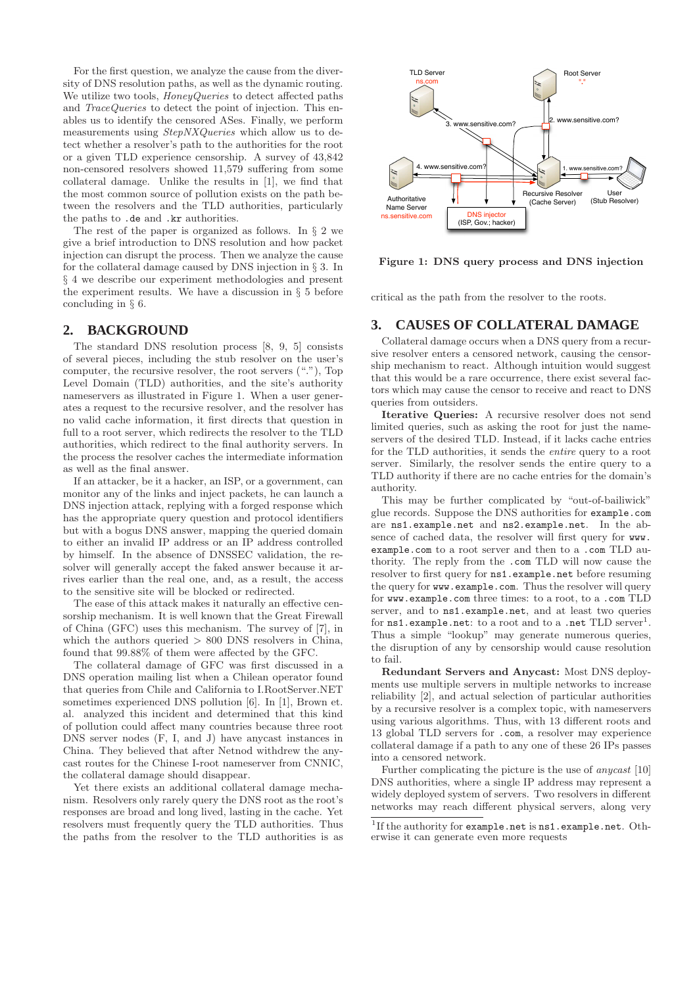For the first question, we analyze the cause from the diversity of DNS resolution paths, as well as the dynamic routing. We utilize two tools, *HoneyQueries* to detect affected paths and *TraceQueries* to detect the point of injection. This enables us to identify the censored ASes. Finally, we perform measurements using StepNXQueries which allow us to detect whether a resolver's path to the authorities for the root or a given TLD experience censorship. A survey of 43,842 non-censored resolvers showed 11,579 suffering from some collateral damage. Unlike the results in [1], we find that the most common source of pollution exists on the path between the resolvers and the TLD authorities, particularly the paths to .de and .kr authorities.

The rest of the paper is organized as follows. In § 2 we give a brief introduction to DNS resolution and how packet injection can disrupt the process. Then we analyze the cause for the collateral damage caused by DNS injection in § 3. In § 4 we describe our experiment methodologies and present the experiment results. We have a discussion in § 5 before concluding in § 6.

# **2. BACKGROUND**

The standard DNS resolution process [8, 9, 5] consists of several pieces, including the stub resolver on the user's computer, the recursive resolver, the root servers ("."), Top Level Domain (TLD) authorities, and the site's authority nameservers as illustrated in Figure 1. When a user generates a request to the recursive resolver, and the resolver has no valid cache information, it first directs that question in full to a root server, which redirects the resolver to the TLD authorities, which redirect to the final authority servers. In the process the resolver caches the intermediate information as well as the final answer.

If an attacker, be it a hacker, an ISP, or a government, can monitor any of the links and inject packets, he can launch a DNS injection attack, replying with a forged response which has the appropriate query question and protocol identifiers but with a bogus DNS answer, mapping the queried domain to either an invalid IP address or an IP address controlled by himself. In the absence of DNSSEC validation, the resolver will generally accept the faked answer because it arrives earlier than the real one, and, as a result, the access to the sensitive site will be blocked or redirected.

The ease of this attack makes it naturally an effective censorship mechanism. It is well known that the Great Firewall of China (GFC) uses this mechanism. The survey of [7], in which the authors queried  $> 800$  DNS resolvers in China, found that 99.88% of them were affected by the GFC.

The collateral damage of GFC was first discussed in a DNS operation mailing list when a Chilean operator found that queries from Chile and California to I.RootServer.NET sometimes experienced DNS pollution [6]. In [1], Brown et. al. analyzed this incident and determined that this kind of pollution could affect many countries because three root DNS server nodes (F, I, and J) have anycast instances in China. They believed that after Netnod withdrew the anycast routes for the Chinese I-root nameserver from CNNIC, the collateral damage should disappear.

Yet there exists an additional collateral damage mechanism. Resolvers only rarely query the DNS root as the root's responses are broad and long lived, lasting in the cache. Yet resolvers must frequently query the TLD authorities. Thus the paths from the resolver to the TLD authorities is as



Figure 1: DNS query process and DNS injection

critical as the path from the resolver to the roots.

#### **3. CAUSES OF COLLATERAL DAMAGE**

Collateral damage occurs when a DNS query from a recursive resolver enters a censored network, causing the censorship mechanism to react. Although intuition would suggest that this would be a rare occurrence, there exist several factors which may cause the censor to receive and react to DNS queries from outsiders.

Iterative Queries: A recursive resolver does not send limited queries, such as asking the root for just the nameservers of the desired TLD. Instead, if it lacks cache entries for the TLD authorities, it sends the entire query to a root server. Similarly, the resolver sends the entire query to a TLD authority if there are no cache entries for the domain's authority.

This may be further complicated by "out-of-bailiwick" glue records. Suppose the DNS authorities for example.com are ns1.example.net and ns2.example.net. In the absence of cached data, the resolver will first query for www. example.com to a root server and then to a .com TLD authority. The reply from the .com TLD will now cause the resolver to first query for ns1.example.net before resuming the query for www.example.com. Thus the resolver will query for www.example.com three times: to a root, to a .com TLD server, and to ns1.example.net, and at least two queries for ns1.example.net: to a root and to a .net TLD server<sup>1</sup>. Thus a simple "lookup" may generate numerous queries, the disruption of any by censorship would cause resolution to fail.

Redundant Servers and Anycast: Most DNS deployments use multiple servers in multiple networks to increase reliability [2], and actual selection of particular authorities by a recursive resolver is a complex topic, with nameservers using various algorithms. Thus, with 13 different roots and 13 global TLD servers for .com, a resolver may experience collateral damage if a path to any one of these 26 IPs passes into a censored network.

Further complicating the picture is the use of anycast [10] DNS authorities, where a single IP address may represent a widely deployed system of servers. Two resolvers in different networks may reach different physical servers, along very

<sup>&</sup>lt;sup>1</sup>If the authority for **example**.net is ns1.example.net. Otherwise it can generate even more requests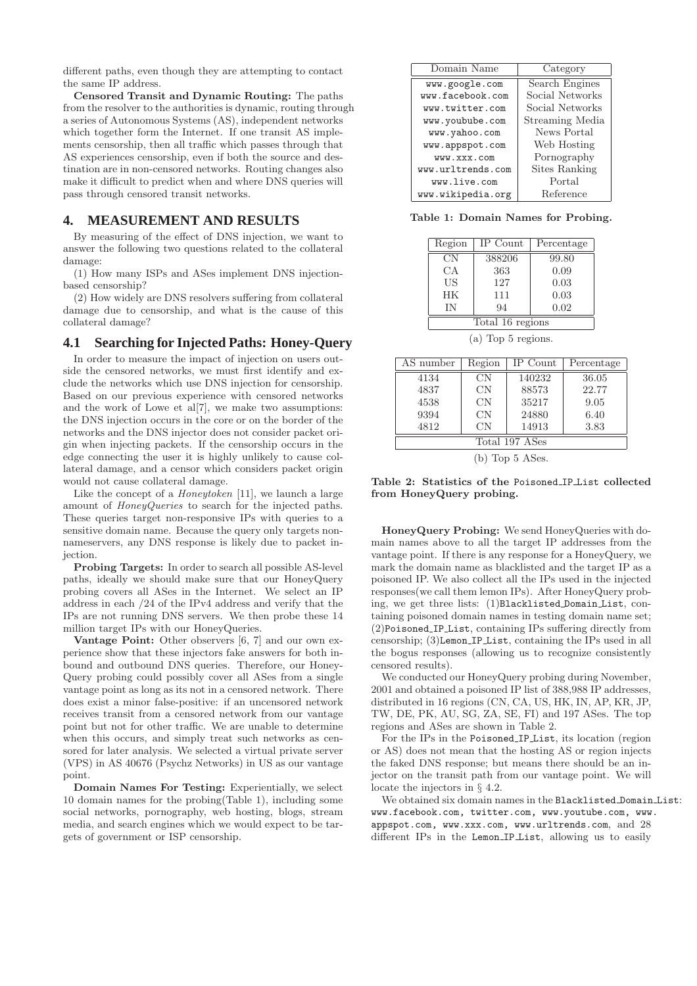different paths, even though they are attempting to contact the same IP address.

Censored Transit and Dynamic Routing: The paths from the resolver to the authorities is dynamic, routing through a series of Autonomous Systems (AS), independent networks which together form the Internet. If one transit AS implements censorship, then all traffic which passes through that AS experiences censorship, even if both the source and destination are in non-censored networks. Routing changes also make it difficult to predict when and where DNS queries will pass through censored transit networks.

# **4. MEASUREMENT AND RESULTS**

By measuring of the effect of DNS injection, we want to answer the following two questions related to the collateral damage:

(1) How many ISPs and ASes implement DNS injectionbased censorship?

(2) How widely are DNS resolvers suffering from collateral damage due to censorship, and what is the cause of this collateral damage?

# **4.1 Searching for Injected Paths: Honey-Query**

In order to measure the impact of injection on users outside the censored networks, we must first identify and exclude the networks which use DNS injection for censorship. Based on our previous experience with censored networks and the work of Lowe et al[7], we make two assumptions: the DNS injection occurs in the core or on the border of the networks and the DNS injector does not consider packet origin when injecting packets. If the censorship occurs in the edge connecting the user it is highly unlikely to cause collateral damage, and a censor which considers packet origin would not cause collateral damage.

Like the concept of a *Honeytoken* [11], we launch a large amount of HoneyQueries to search for the injected paths. These queries target non-responsive IPs with queries to a sensitive domain name. Because the query only targets nonnameservers, any DNS response is likely due to packet injection.

Probing Targets: In order to search all possible AS-level paths, ideally we should make sure that our HoneyQuery probing covers all ASes in the Internet. We select an IP address in each /24 of the IPv4 address and verify that the IPs are not running DNS servers. We then probe these 14 million target IPs with our HoneyQueries.

Vantage Point: Other observers [6, 7] and our own experience show that these injectors fake answers for both inbound and outbound DNS queries. Therefore, our Honey-Query probing could possibly cover all ASes from a single vantage point as long as its not in a censored network. There does exist a minor false-positive: if an uncensored network receives transit from a censored network from our vantage point but not for other traffic. We are unable to determine when this occurs, and simply treat such networks as censored for later analysis. We selected a virtual private server (VPS) in AS 40676 (Psychz Networks) in US as our vantage point.

Domain Names For Testing: Experientially, we select 10 domain names for the probing(Table 1), including some social networks, pornography, web hosting, blogs, stream media, and search engines which we would expect to be targets of government or ISP censorship.

| Domain Name       | Category        |
|-------------------|-----------------|
| www.google.com    | Search Engines  |
| www.facebook.com  | Social Networks |
| www.twitter.com   | Social Networks |
| www.youbube.com   | Streaming Media |
| www.yahoo.com     | News Portal     |
| www.appspot.com   | Web Hosting     |
| WWW.XXX.COM       | Pornography     |
| www.urltrends.com | Sites Ranking   |
| www.live.com      | Portal          |
| www.wikipedia.org | Reference       |
|                   |                 |

Table 1: Domain Names for Probing.

| Region           | IP Count | Percentage |
|------------------|----------|------------|
| <b>CN</b>        | 388206   | 99.80      |
| CA               | 363      | 0.09       |
| US               | 127      | 0.03       |
| HK               | 111      | 0.03       |
| IN               | 94       | 0.02       |
| Total 16 regions |          |            |

(a) Top 5 regions.

| AS number      | Region    | IP Count | Percentage |
|----------------|-----------|----------|------------|
| 4134           | CN        | 140232   | 36.05      |
| 4837           | <b>CN</b> | 88573    | 22.77      |
| 4538           | <b>CN</b> | 35217    | 9.05       |
| 9394           | CN        | 24880    | 6.40       |
| 4812           | CΝ        | 14913    | 3.83       |
| Total 197 ASes |           |          |            |
|                |           |          |            |

(b) Top 5 ASes.

Table 2: Statistics of the Poisoned IP List collected from HoneyQuery probing.

HoneyQuery Probing: We send HoneyQueries with domain names above to all the target IP addresses from the vantage point. If there is any response for a HoneyQuery, we mark the domain name as blacklisted and the target IP as a poisoned IP. We also collect all the IPs used in the injected responses(we call them lemon IPs). After HoneyQuery probing, we get three lists: (1)Blacklisted Domain List, containing poisoned domain names in testing domain name set; (2)Poisoned IP List, containing IPs suffering directly from censorship; (3)Lemon IP List, containing the IPs used in all the bogus responses (allowing us to recognize consistently censored results).

We conducted our HoneyQuery probing during November, 2001 and obtained a poisoned IP list of 388,988 IP addresses, distributed in 16 regions (CN, CA, US, HK, IN, AP, KR, JP, TW, DE, PK, AU, SG, ZA, SE, FI) and 197 ASes. The top regions and ASes are shown in Table 2.

For the IPs in the Poisoned IP List, its location (region or AS) does not mean that the hosting AS or region injects the faked DNS response; but means there should be an injector on the transit path from our vantage point. We will locate the injectors in § 4.2.

We obtained six domain names in the Blacklisted Domain List: www.facebook.com, twitter.com, www.youtube.com, www. appspot.com, www.xxx.com, www.urltrends.com, and 28 different IPs in the Lemon<sub>-IP-List</sub>, allowing us to easily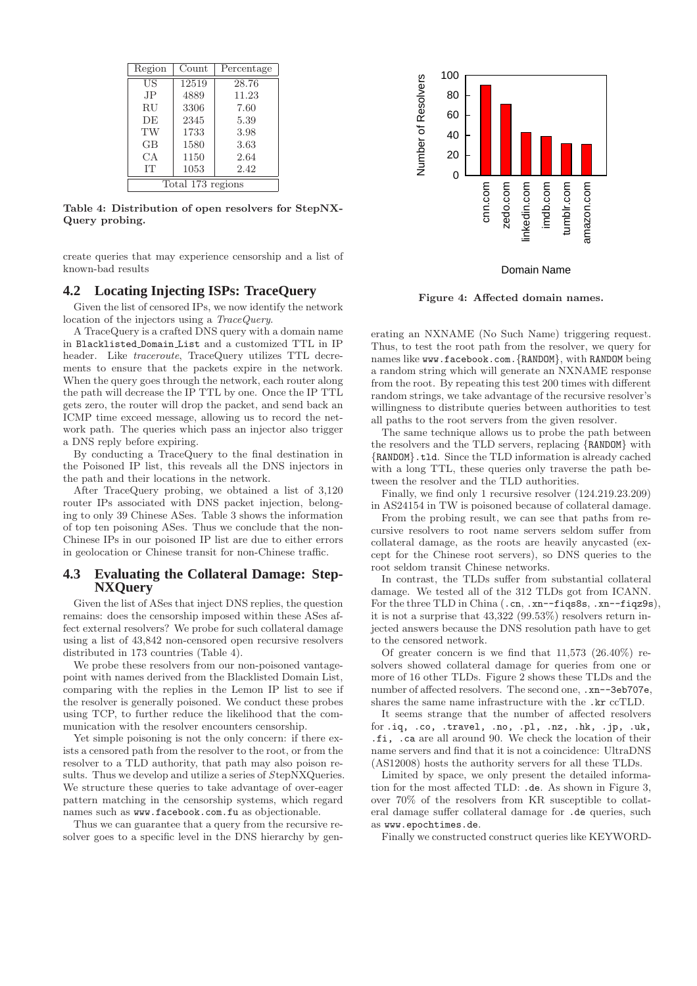| Region            | Count | Percentage |
|-------------------|-------|------------|
| US                | 12519 | 28.76      |
| JP.               | 4889  | 11.23      |
| <b>RU</b>         | 3306  | 7.60       |
| DE                | 2345  | 5.39       |
| TW                | 1733  | 3.98       |
| GВ                | 1580  | 3.63       |
| CА                | 1150  | 2.64       |
| <b>IT</b>         | 1053  | 2.42       |
| Total 173 regions |       |            |

Table 4: Distribution of open resolvers for StepNX-Query probing.

create queries that may experience censorship and a list of known-bad results

# **4.2 Locating Injecting ISPs: TraceQuery**

Given the list of censored IPs, we now identify the network location of the injectors using a TraceQuery.

A TraceQuery is a crafted DNS query with a domain name in Blacklisted Domain List and a customized TTL in IP header. Like traceroute, TraceQuery utilizes TTL decrements to ensure that the packets expire in the network. When the query goes through the network, each router along the path will decrease the IP TTL by one. Once the IP TTL gets zero, the router will drop the packet, and send back an ICMP time exceed message, allowing us to record the network path. The queries which pass an injector also trigger a DNS reply before expiring.

By conducting a TraceQuery to the final destination in the Poisoned IP list, this reveals all the DNS injectors in the path and their locations in the network.

After TraceQuery probing, we obtained a list of 3,120 router IPs associated with DNS packet injection, belonging to only 39 Chinese ASes. Table 3 shows the information of top ten poisoning ASes. Thus we conclude that the non-Chinese IPs in our poisoned IP list are due to either errors in geolocation or Chinese transit for non-Chinese traffic.

## **4.3 Evaluating the Collateral Damage: Step-NXQuery**

Given the list of ASes that inject DNS replies, the question remains: does the censorship imposed within these ASes affect external resolvers? We probe for such collateral damage using a list of 43,842 non-censored open recursive resolvers distributed in 173 countries (Table 4).

We probe these resolvers from our non-poisoned vantagepoint with names derived from the Blacklisted Domain List, comparing with the replies in the Lemon IP list to see if the resolver is generally poisoned. We conduct these probes using TCP, to further reduce the likelihood that the communication with the resolver encounters censorship.

Yet simple poisoning is not the only concern: if there exists a censored path from the resolver to the root, or from the resolver to a TLD authority, that path may also poison results. Thus we develop and utilize a series of StepNXQueries. We structure these queries to take advantage of over-eager pattern matching in the censorship systems, which regard names such as www.facebook.com.fu as objectionable.

Thus we can guarantee that a query from the recursive resolver goes to a specific level in the DNS hierarchy by gen-



Domain Name

Figure 4: Affected domain names.

erating an NXNAME (No Such Name) triggering request. Thus, to test the root path from the resolver, we query for names like www.facebook.com.{RANDOM}, with RANDOM being a random string which will generate an NXNAME response from the root. By repeating this test 200 times with different random strings, we take advantage of the recursive resolver's willingness to distribute queries between authorities to test all paths to the root servers from the given resolver.

The same technique allows us to probe the path between the resolvers and the TLD servers, replacing {RANDOM} with {RANDOM}.tld. Since the TLD information is already cached with a long TTL, these queries only traverse the path between the resolver and the TLD authorities.

Finally, we find only 1 recursive resolver (124.219.23.209) in AS24154 in TW is poisoned because of collateral damage.

From the probing result, we can see that paths from recursive resolvers to root name servers seldom suffer from collateral damage, as the roots are heavily anycasted (except for the Chinese root servers), so DNS queries to the root seldom transit Chinese networks.

In contrast, the TLDs suffer from substantial collateral damage. We tested all of the 312 TLDs got from ICANN. For the three TLD in China (.cn, .xn--fiqs8s, .xn--fiqz9s), it is not a surprise that 43,322 (99.53%) resolvers return injected answers because the DNS resolution path have to get to the censored network.

Of greater concern is we find that 11,573 (26.40%) resolvers showed collateral damage for queries from one or more of 16 other TLDs. Figure 2 shows these TLDs and the number of affected resolvers. The second one, .xn--3eb707e, shares the same name infrastructure with the .kr ccTLD.

It seems strange that the number of affected resolvers for .iq, .co, .travel, .no, .pl, .nz, .hk, .jp, .uk, .fi, .ca are all around 90. We check the location of their name servers and find that it is not a coincidence: UltraDNS (AS12008) hosts the authority servers for all these TLDs.

Limited by space, we only present the detailed information for the most affected TLD: .de. As shown in Figure 3, over 70% of the resolvers from KR susceptible to collateral damage suffer collateral damage for .de queries, such as www.epochtimes.de.

Finally we constructed construct queries like KEYWORD-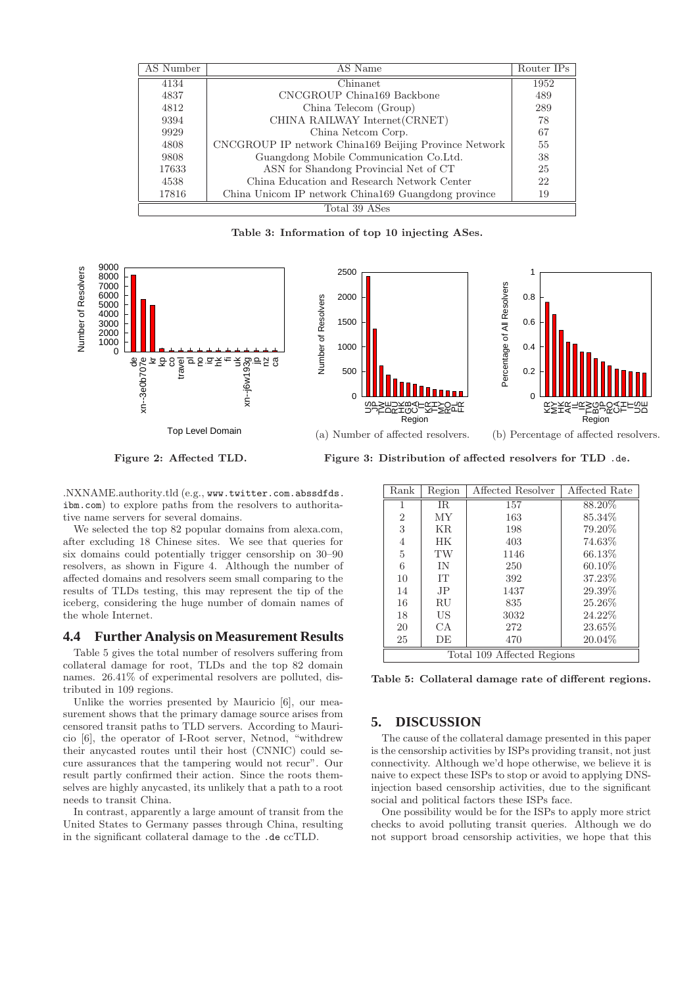| AS Number     | AS Name                                               | Router IPs |
|---------------|-------------------------------------------------------|------------|
| 4134          | Chinanet                                              | 1952       |
| 4837          | CNCGROUP China169 Backbone                            | 489        |
| 4812          | China Telecom (Group)                                 | 289        |
| 9394          | CHINA RAILWAY Internet (CRNET)                        | 78         |
| 9929          | China Netcom Corp.                                    | 67         |
| 4808          | CNCGROUP IP network China169 Beijing Province Network | 55         |
| 9808          | Guangdong Mobile Communication Co. Ltd.               | 38         |
| 17633         | ASN for Shandong Provincial Net of CT                 | 25         |
| 4538          | China Education and Research Network Center           | 22         |
| 17816         | China Unicom IP network China169 Guangdong province   | 19         |
| Total 39 ASes |                                                       |            |

Table 3: Information of top 10 injecting ASes.



Figure 2: Affected TLD.

Figure 3: Distribution of affected resolvers for TLD .de.

.NXNAME.authority.tld (e.g., www.twitter.com.abssdfds. ibm.com) to explore paths from the resolvers to authoritative name servers for several domains.

We selected the top 82 popular domains from alexa.com, after excluding 18 Chinese sites. We see that queries for six domains could potentially trigger censorship on 30–90 resolvers, as shown in Figure 4. Although the number of affected domains and resolvers seem small comparing to the results of TLDs testing, this may represent the tip of the iceberg, considering the huge number of domain names of the whole Internet.

#### **4.4 Further Analysis on Measurement Results**

Table 5 gives the total number of resolvers suffering from collateral damage for root, TLDs and the top 82 domain names. 26.41% of experimental resolvers are polluted, distributed in 109 regions.

Unlike the worries presented by Mauricio [6], our measurement shows that the primary damage source arises from censored transit paths to TLD servers. According to Mauricio [6], the operator of I-Root server, Netnod, "withdrew their anycasted routes until their host (CNNIC) could secure assurances that the tampering would not recur". Our result partly confirmed their action. Since the roots themselves are highly anycasted, its unlikely that a path to a root needs to transit China.

In contrast, apparently a large amount of transit from the United States to Germany passes through China, resulting in the significant collateral damage to the .de ccTLD.

| Rank                       | Region    | Affected Resolver | Affected Rate |
|----------------------------|-----------|-------------------|---------------|
| 1                          | IR.       | 157               | 88.20%        |
| $\overline{2}$             | <b>MY</b> | 163               | 85.34\%       |
| 3                          | <b>KR</b> | 198               | 79.20%        |
| 4                          | <b>HK</b> | 403               | 74.63%        |
| $\overline{5}$             | TW        | 1146              | 66.13\%       |
| 6                          | IN        | 250               | 60.10%        |
| 10                         | <b>IT</b> | 392               | 37.23%        |
| 14                         | JP.       | 1437              | 29.39%        |
| 16                         | RU        | 835               | 25.26%        |
| 18                         | US        | 3032              | 24.22%        |
| 20                         | СA        | 272               | 23.65\%       |
| 25                         | DE        | 470               | 20.04\%       |
| Total 109 Affected Regions |           |                   |               |

Table 5: Collateral damage rate of different regions.

## **5. DISCUSSION**

The cause of the collateral damage presented in this paper is the censorship activities by ISPs providing transit, not just connectivity. Although we'd hope otherwise, we believe it is naive to expect these ISPs to stop or avoid to applying DNSinjection based censorship activities, due to the significant social and political factors these ISPs face.

One possibility would be for the ISPs to apply more strict checks to avoid polluting transit queries. Although we do not support broad censorship activities, we hope that this